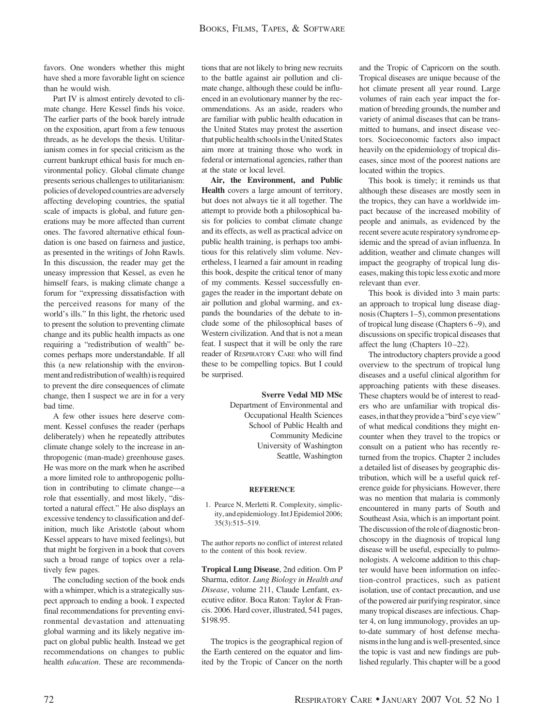favors. One wonders whether this might have shed a more favorable light on science than he would wish.

Part IV is almost entirely devoted to climate change. Here Kessel finds his voice. The earlier parts of the book barely intrude on the exposition, apart from a few tenuous threads, as he develops the thesis. Utilitarianism comes in for special criticism as the current bankrupt ethical basis for much environmental policy. Global climate change presents serious challenges to utilitarianism: policies of developed countries are adversely affecting developing countries, the spatial scale of impacts is global, and future generations may be more affected than current ones. The favored alternative ethical foundation is one based on fairness and justice, as presented in the writings of John Rawls. In this discussion, the reader may get the uneasy impression that Kessel, as even he himself fears, is making climate change a forum for "expressing dissatisfaction with the perceived reasons for many of the world's ills." In this light, the rhetoric used to present the solution to preventing climate change and its public health impacts as one requiring a "redistribution of wealth" becomes perhaps more understandable. If all this (a new relationship with the environment and redistribution of wealth) is required to prevent the dire consequences of climate change, then I suspect we are in for a very bad time.

A few other issues here deserve comment. Kessel confuses the reader (perhaps deliberately) when he repeatedly attributes climate change solely to the increase in anthropogenic (man-made) greenhouse gases. He was more on the mark when he ascribed a more limited role to anthropogenic pollution in contributing to climate change—a role that essentially, and most likely, "distorted a natural effect." He also displays an excessive tendency to classification and definition, much like Aristotle (about whom Kessel appears to have mixed feelings), but that might be forgiven in a book that covers such a broad range of topics over a relatively few pages.

The concluding section of the book ends with a whimper, which is a strategically suspect approach to ending a book. I expected final recommendations for preventing environmental devastation and attenuating global warming and its likely negative impact on global public health. Instead we get recommendations on changes to public health *education*. These are recommendations that are not likely to bring new recruits to the battle against air pollution and climate change, although these could be influenced in an evolutionary manner by the recommendations. As an aside, readers who are familiar with public health education in the United States may protest the assertion that public health schools in the United States aim more at training those who work in federal or international agencies, rather than at the state or local level.

**Air, the Environment, and Public Health** covers a large amount of territory, but does not always tie it all together. The attempt to provide both a philosophical basis for policies to combat climate change and its effects, as well as practical advice on public health training, is perhaps too ambitious for this relatively slim volume. Nevertheless, I learned a fair amount in reading this book, despite the critical tenor of many of my comments. Kessel successfully engages the reader in the important debate on air pollution and global warming, and expands the boundaries of the debate to include some of the philosophical bases of Western civilization. And that is not a mean feat. I suspect that it will be only the rare reader of RESPIRATORY CARE who will find these to be compelling topics. But I could be surprised.

> **Sverre Vedal MD MSc** Department of Environmental and Occupational Health Sciences School of Public Health and Community Medicine University of Washington Seattle, Washington

## **REFERENCE**

1. Pearce N, Merletti R. Complexity, simplicity, and epidemiology. Int J Epidemiol 2006; 35(3):515–519.

The author reports no conflict of interest related to the content of this book review.

**Tropical Lung Disease**, 2nd edition. Om P Sharma, editor. *Lung Biology in Health and Disease*, volume 211, Claude Lenfant, executive editor. Boca Raton: Taylor & Francis. 2006. Hard cover, illustrated, 541 pages, \$198.95.

The tropics is the geographical region of the Earth centered on the equator and limited by the Tropic of Cancer on the north and the Tropic of Capricorn on the south. Tropical diseases are unique because of the hot climate present all year round. Large volumes of rain each year impact the formation of breeding grounds, the number and variety of animal diseases that can be transmitted to humans, and insect disease vectors. Socioeconomic factors also impact heavily on the epidemiology of tropical diseases, since most of the poorest nations are located within the tropics.

This book is timely; it reminds us that although these diseases are mostly seen in the tropics, they can have a worldwide impact because of the increased mobility of people and animals, as evidenced by the recent severe acute respiratory syndrome epidemic and the spread of avian influenza. In addition, weather and climate changes will impact the geography of tropical lung diseases, making this topic less exotic and more relevant than ever.

This book is divided into 3 main parts: an approach to tropical lung disease diagnosis (Chapters 1–5), common presentations of tropical lung disease (Chapters 6 –9), and discussions on specific tropical diseases that affect the lung (Chapters 10-22).

The introductory chapters provide a good overview to the spectrum of tropical lung diseases and a useful clinical algorithm for approaching patients with these diseases. These chapters would be of interest to readers who are unfamiliar with tropical diseases, in that they provide a "bird's eye view" of what medical conditions they might encounter when they travel to the tropics or consult on a patient who has recently returned from the tropics. Chapter 2 includes a detailed list of diseases by geographic distribution, which will be a useful quick reference guide for physicians. However, there was no mention that malaria is commonly encountered in many parts of South and Southeast Asia, which is an important point. The discussion of the role of diagnostic bronchoscopy in the diagnosis of tropical lung disease will be useful, especially to pulmonologists. A welcome addition to this chapter would have been information on infection-control practices, such as patient isolation, use of contact precaution, and use of the powered air purifying respirator, since many tropical diseases are infectious. Chapter 4, on lung immunology, provides an upto-date summary of host defense mechanismsinthelung andis well-presented, since the topic is vast and new findings are published regularly. This chapter will be a good